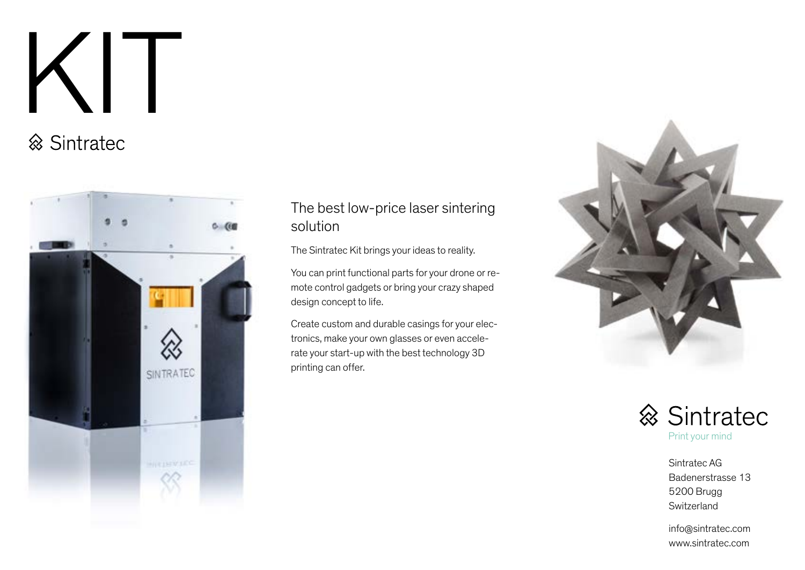# KIT



## The best low-price laser sintering solution

The Sintratec Kit brings your ideas to reality.

You can print functional parts for your drone or remote control gadgets or bring your crazy shaped design concept to life.

Create custom and durable casings for your electronics, make your own glasses or even accelerate your start-up with the best technology 3D printing can offer.





Sintratec AG Badenerstrasse 13 5200 Brugg Switzerland

info@sintratec.com www.sintratec.com